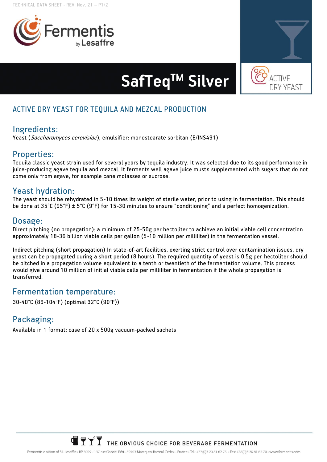



# SafTeq<sup>™</sup> Silver

## **ACTIVE DRY YEAST FOR TEQUILA AND MEZCAL PRODUCTION**

### **Ingredients:**

Yeast (Saccharomyces cerevisiae), emulsifier: monostearate sorbitan (E/INS491)

#### **Properties:**

Tequila classic yeast strain used for several years by tequila industry. It was selected due to its good performance in juice-producing agave tequila and mezcal. It ferments well agave juice musts supplemented with sugars that do not come only from agave, for example cane molasses or sucrose.

#### **Yeast hydration:**

The yeast should be rehydrated in 5-10 times its weight of sterile water, prior to using in fermentation. This should be done at 35°C (95°F) ± 5°C (9°F) for 15-30 minutes to ensure "conditioning" and a perfect homogenization.

#### **Dosage:**

**Direct pitching** (no propagation): a minimum of 25-50g per hectoliter to achieve an initial viable cell concentration approximately 18-36 billion viable cells per gallon (5-10 million per milliliter) in the fermentation vessel.

**Indirect pitching** (short propagation) In state-of-art facilities, exerting strict control over contamination issues, dry yeast can be propagated during a short period (8 hours). The required quantity of yeast is 0.5g per hectoliter should be pitched in a propagation volume equivalent to a tenth or twentieth of the fermentation volume. This process would give around 10 million of initial viable cells per milliliter in fermentation if the whole propagation is transferred.

#### **Fermentation temperature:**

30-40°C (86-104°F) (optimal 32°C (90°F))

## **Packaging:**

Available in 1 format: case of 20 x 500g vacuum-packed sachets



Fermentis division of S.I. Lesaffre · BP 3029 - 137 rue Gabriel Péri - 59703 Marcq-en-Barceul Cedex - France · Tel: +33(0)3 20 81 62 75 · Fax: +33(0)3 20 81 62 70 · www.fermentis.com